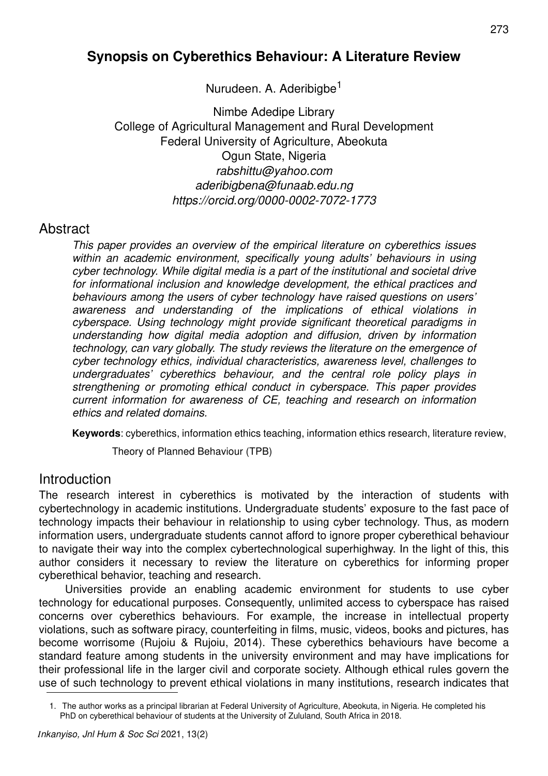# **Synopsis on Cyberethics Behaviour: A Literature Review**

Nurudeen. A. Aderibigbe<sup>1</sup>

Nimbe Adedipe Library College of Agricultural Management and Rural Development Federal University of Agriculture, Abeokuta Ogun State, Nigeria rabshittu@yahoo.com aderibigbena@funaab.edu.ng https://orcid.org/0000-0002-7072-1773

### **Abstract**

This paper provides an overview of the empirical literature on cyberethics issues within an academic environment, specifically young adults' behaviours in using cyber technology. While digital media is a part of the institutional and societal drive for informational inclusion and knowledge development, the ethical practices and behaviours among the users of cyber technology have raised questions on users' awareness and understanding of the implications of ethical violations in cyberspace. Using technology might provide significant theoretical paradigms in understanding how digital media adoption and diffusion, driven by information technology, can vary globally. The study reviews the literature on the emergence of cyber technology ethics, individual characteristics, awareness level, challenges to undergraduates' cyberethics behaviour, and the central role policy plays in strengthening or promoting ethical conduct in cyberspace. This paper provides current information for awareness of CE, teaching and research on information ethics and related domains.

**Keywords**: cyberethics, information ethics teaching, information ethics research, literature review,

Theory of Planned Behaviour (TPB)

### **Introduction**

The research interest in cyberethics is motivated by the interaction of students with cybertechnology in academic institutions. Undergraduate students' exposure to the fast pace of technology impacts their behaviour in relationship to using cyber technology. Thus, as modern information users, undergraduate students cannot afford to ignore proper cyberethical behaviour to navigate their way into the complex cybertechnological superhighway. In the light of this, this author considers it necessary to review the literature on cyberethics for informing proper cyberethical behavior, teaching and research.

Universities provide an enabling academic environment for students to use cyber technology for educational purposes. Consequently, unlimited access to cyberspace has raised concerns over cyberethics behaviours. For example, the increase in intellectual property violations, such as software piracy, counterfeiting in films, music, videos, books and pictures, has become worrisome (Rujoiu & Rujoiu, 2014). These cyberethics behaviours have become a standard feature among students in the university environment and may have implications for their professional life in the larger civil and corporate society. Although ethical rules govern the use of such technology to prevent ethical violations in many institutions, research indicates that

<sup>1.</sup> The author works as a principal librarian at Federal University of Agriculture, Abeokuta, in Nigeria. He completed his PhD on cyberethical behaviour of students at the University of Zululand, South Africa in 2018.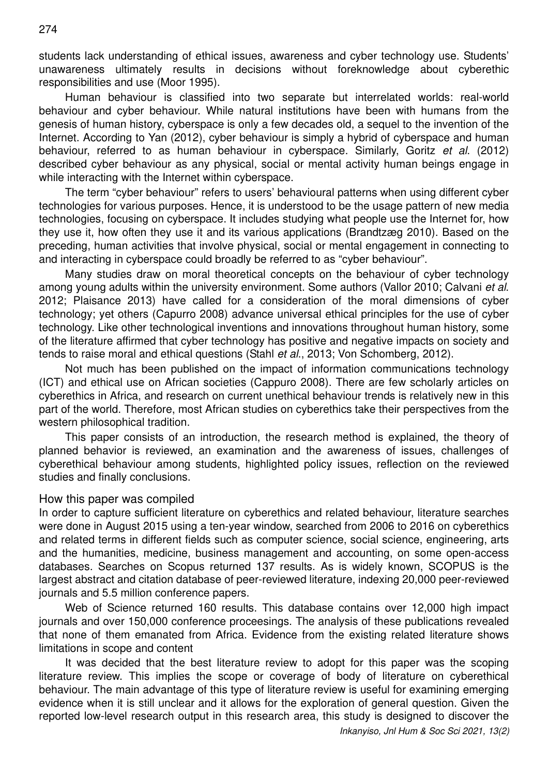students lack understanding of ethical issues, awareness and cyber technology use. Students' unawareness ultimately results in decisions without foreknowledge about cyberethic responsibilities and use (Moor 1995).

Human behaviour is classified into two separate but interrelated worlds: real-world behaviour and cyber behaviour. While natural institutions have been with humans from the genesis of human history, cyberspace is only a few decades old, a sequel to the invention of the Internet. According to Yan (2012), cyber behaviour is simply a hybrid of cyberspace and human behaviour, referred to as human behaviour in cyberspace. Similarly, Goritz et al. (2012) described cyber behaviour as any physical, social or mental activity human beings engage in while interacting with the Internet within cyberspace.

The term "cyber behaviour" refers to users' behavioural patterns when using different cyber technologies for various purposes. Hence, it is understood to be the usage pattern of new media technologies, focusing on cyberspace. It includes studying what people use the Internet for, how they use it, how often they use it and its various applications (Brandtzæg 2010). Based on the preceding, human activities that involve physical, social or mental engagement in connecting to and interacting in cyberspace could broadly be referred to as "cyber behaviour".

Many studies draw on moral theoretical concepts on the behaviour of cyber technology among young adults within the university environment. Some authors (Vallor 2010; Calvani et al. 2012; Plaisance 2013) have called for a consideration of the moral dimensions of cyber technology; yet others (Capurro 2008) advance universal ethical principles for the use of cyber technology. Like other technological inventions and innovations throughout human history, some of the literature affirmed that cyber technology has positive and negative impacts on society and tends to raise moral and ethical questions (Stahl et al., 2013; Von Schomberg, 2012).

Not much has been published on the impact of information communications technology (ICT) and ethical use on African societies (Cappuro 2008). There are few scholarly articles on cyberethics in Africa, and research on current unethical behaviour trends is relatively new in this part of the world. Therefore, most African studies on cyberethics take their perspectives from the western philosophical tradition.

This paper consists of an introduction, the research method is explained, the theory of planned behavior is reviewed, an examination and the awareness of issues, challenges of cyberethical behaviour among students, highlighted policy issues, reflection on the reviewed studies and finally conclusions.

#### How this paper was compiled

In order to capture sufficient literature on cyberethics and related behaviour, literature searches were done in August 2015 using a ten-year window, searched from 2006 to 2016 on cyberethics and related terms in different fields such as computer science, social science, engineering, arts and the humanities, medicine, business management and accounting, on some open-access databases. Searches on Scopus returned 137 results. As is widely known, SCOPUS is the largest abstract and citation database of peer-reviewed literature, indexing 20,000 peer-reviewed journals and 5.5 million conference papers.

Web of Science returned 160 results. This database contains over 12,000 high impact journals and over 150,000 conference proceesings. The analysis of these publications revealed that none of them emanated from Africa. Evidence from the existing related literature shows limitations in scope and content

It was decided that the best literature review to adopt for this paper was the scoping literature review. This implies the scope or coverage of body of literature on cyberethical behaviour. The main advantage of this type of literature review is useful for examining emerging evidence when it is still unclear and it allows for the exploration of general question. Given the reported low-level research output in this research area, this study is designed to discover the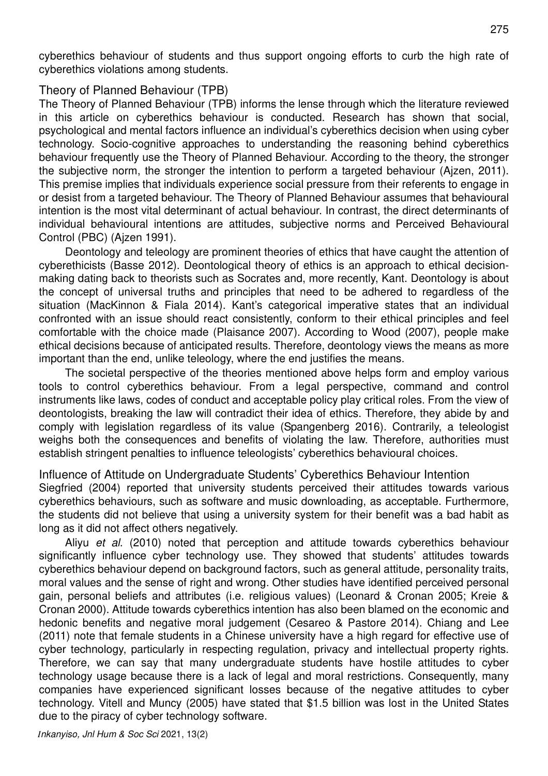cyberethics behaviour of students and thus support ongoing efforts to curb the high rate of cyberethics violations among students.

#### Theory of Planned Behaviour (TPB)

The Theory of Planned Behaviour (TPB) informs the lense through which the literature reviewed in this article on cyberethics behaviour is conducted. Research has shown that social, psychological and mental factors influence an individual's cyberethics decision when using cyber technology. Socio-cognitive approaches to understanding the reasoning behind cyberethics behaviour frequently use the Theory of Planned Behaviour. According to the theory, the stronger the subjective norm, the stronger the intention to perform a targeted behaviour (Ajzen, 2011). This premise implies that individuals experience social pressure from their referents to engage in or desist from a targeted behaviour. The Theory of Planned Behaviour assumes that behavioural intention is the most vital determinant of actual behaviour. In contrast, the direct determinants of individual behavioural intentions are attitudes, subjective norms and Perceived Behavioural Control (PBC) (Ajzen 1991).

Deontology and teleology are prominent theories of ethics that have caught the attention of cyberethicists (Basse 2012). Deontological theory of ethics is an approach to ethical decisionmaking dating back to theorists such as Socrates and, more recently, Kant. Deontology is about the concept of universal truths and principles that need to be adhered to regardless of the situation (MacKinnon & Fiala 2014). Kant's categorical imperative states that an individual confronted with an issue should react consistently, conform to their ethical principles and feel comfortable with the choice made (Plaisance 2007). According to Wood (2007), people make ethical decisions because of anticipated results. Therefore, deontology views the means as more important than the end, unlike teleology, where the end justifies the means.

The societal perspective of the theories mentioned above helps form and employ various tools to control cyberethics behaviour. From a legal perspective, command and control instruments like laws, codes of conduct and acceptable policy play critical roles. From the view of deontologists, breaking the law will contradict their idea of ethics. Therefore, they abide by and comply with legislation regardless of its value (Spangenberg 2016). Contrarily, a teleologist weighs both the consequences and benefits of violating the law. Therefore, authorities must establish stringent penalties to influence teleologists' cyberethics behavioural choices.

Influence of Attitude on Undergraduate Students' Cyberethics Behaviour Intention Siegfried (2004) reported that university students perceived their attitudes towards various cyberethics behaviours, such as software and music downloading, as acceptable. Furthermore, the students did not believe that using a university system for their benefit was a bad habit as long as it did not affect others negatively.

Aliyu et al. (2010) noted that perception and attitude towards cyberethics behaviour significantly influence cyber technology use. They showed that students' attitudes towards cyberethics behaviour depend on background factors, such as general attitude, personality traits, moral values and the sense of right and wrong. Other studies have identified perceived personal gain, personal beliefs and attributes (i.e. religious values) (Leonard & Cronan 2005; Kreie & Cronan 2000). Attitude towards cyberethics intention has also been blamed on the economic and hedonic benefits and negative moral judgement (Cesareo & Pastore 2014). Chiang and Lee (2011) note that female students in a Chinese university have a high regard for effective use of cyber technology, particularly in respecting regulation, privacy and intellectual property rights. Therefore, we can say that many undergraduate students have hostile attitudes to cyber technology usage because there is a lack of legal and moral restrictions. Consequently, many companies have experienced significant losses because of the negative attitudes to cyber technology. Vitell and Muncy (2005) have stated that \$1.5 billion was lost in the United States due to the piracy of cyber technology software.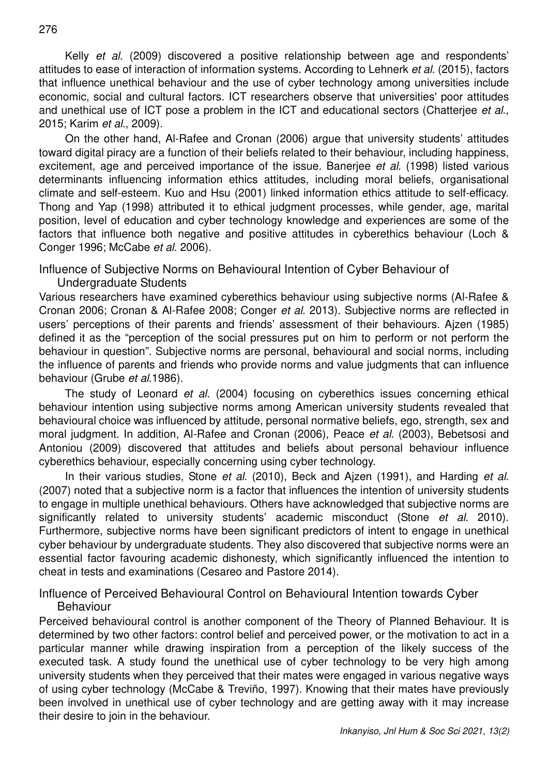Kelly et al. (2009) discovered a positive relationship between age and respondents' attitudes to ease of interaction of information systems. According to Lehnerk et al. (2015), factors that influence unethical behaviour and the use of cyber technology among universities include economic, social and cultural factors. ICT researchers observe that universities' poor attitudes and unethical use of ICT pose a problem in the ICT and educational sectors (Chatteriee et al., 2015; Karim et al., 2009).

On the other hand, Al-Rafee and Cronan (2006) argue that university students' attitudes toward digital piracy are a function of their beliefs related to their behaviour, including happiness, excitement, age and perceived importance of the issue. Baneriee et al. (1998) listed various determinants influencing information ethics attitudes, including moral beliefs, organisational climate and self-esteem. Kuo and Hsu (2001) linked information ethics attitude to self-efficacy. Thong and Yap (1998) attributed it to ethical judgment processes, while gender, age, marital position, level of education and cyber technology knowledge and experiences are some of the factors that influence both negative and positive attitudes in cyberethics behaviour (Loch & Conger 1996; McCabe et al. 2006).

Influence of Subjective Norms on Behavioural Intention of Cyber Behaviour of

Undergraduate Students

Various researchers have examined cyberethics behaviour using subjective norms (Al-Rafee & Cronan 2006; Cronan & Al-Rafee 2008; Conger et al. 2013). Subjective norms are reflected in users' perceptions of their parents and friends' assessment of their behaviours. Ajzen (1985) defined it as the "perception of the social pressures put on him to perform or not perform the behaviour in question". Subjective norms are personal, behavioural and social norms, including the influence of parents and friends who provide norms and value judgments that can influence behaviour (Grube et al.1986).

The study of Leonard et al. (2004) focusing on cyberethics issues concerning ethical behaviour intention using subjective norms among American university students revealed that behavioural choice was influenced by attitude, personal normative beliefs, ego, strength, sex and moral judgment. In addition, Al-Rafee and Cronan (2006), Peace et al. (2003), Bebetsosi and Antoniou (2009) discovered that attitudes and beliefs about personal behaviour influence cyberethics behaviour, especially concerning using cyber technology.

In their various studies, Stone et al. (2010), Beck and Ajzen (1991), and Harding et al. (2007) noted that a subjective norm is a factor that influences the intention of university students to engage in multiple unethical behaviours. Others have acknowledged that subjective norms are significantly related to university students' academic misconduct (Stone et al. 2010). Furthermore, subjective norms have been significant predictors of intent to engage in unethical cyber behaviour by undergraduate students. They also discovered that subjective norms were an essential factor favouring academic dishonesty, which significantly influenced the intention to cheat in tests and examinations (Cesareo and Pastore 2014).

Influence of Perceived Behavioural Control on Behavioural Intention towards Cyber Behaviour

Perceived behavioural control is another component of the Theory of Planned Behaviour. It is determined by two other factors: control belief and perceived power, or the motivation to act in a particular manner while drawing inspiration from a perception of the likely success of the executed task. A study found the unethical use of cyber technology to be very high among university students when they perceived that their mates were engaged in various negative ways of using cyber technology (McCabe & Treviño, 1997). Knowing that their mates have previously been involved in unethical use of cyber technology and are getting away with it may increase their desire to join in the behaviour.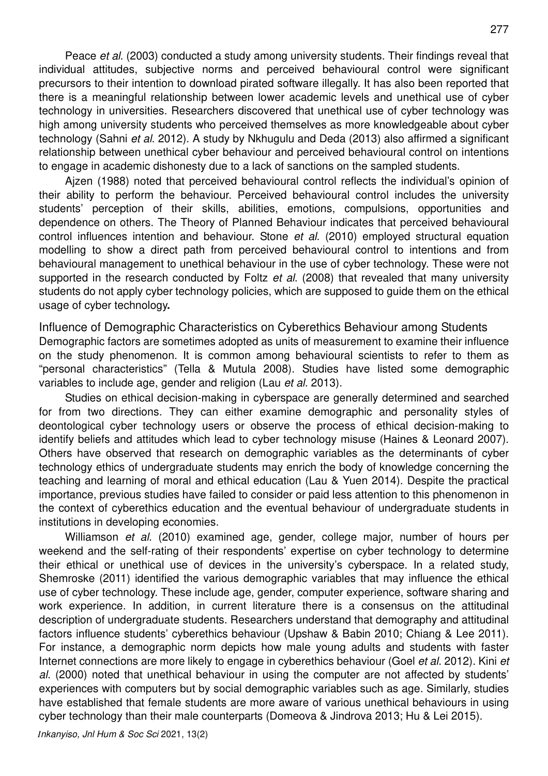Peace et al. (2003) conducted a study among university students. Their findings reveal that individual attitudes, subjective norms and perceived behavioural control were significant precursors to their intention to download pirated software illegally. It has also been reported that there is a meaningful relationship between lower academic levels and unethical use of cyber technology in universities. Researchers discovered that unethical use of cyber technology was high among university students who perceived themselves as more knowledgeable about cyber technology (Sahni et al. 2012). A study by Nkhugulu and Deda (2013) also affirmed a significant relationship between unethical cyber behaviour and perceived behavioural control on intentions to engage in academic dishonesty due to a lack of sanctions on the sampled students.

Ajzen (1988) noted that perceived behavioural control reflects the individual's opinion of their ability to perform the behaviour. Perceived behavioural control includes the university students' perception of their skills, abilities, emotions, compulsions, opportunities and dependence on others. The Theory of Planned Behaviour indicates that perceived behavioural control influences intention and behaviour. Stone et al. (2010) employed structural equation modelling to show a direct path from perceived behavioural control to intentions and from behavioural management to unethical behaviour in the use of cyber technology. These were not supported in the research conducted by Foltz et al. (2008) that revealed that many university students do not apply cyber technology policies, which are supposed to guide them on the ethical usage of cyber technology**.**

Influence of Demographic Characteristics on Cyberethics Behaviour among Students Demographic factors are sometimes adopted as units of measurement to examine their influence on the study phenomenon. It is common among behavioural scientists to refer to them as "personal characteristics" (Tella & Mutula 2008). Studies have listed some demographic variables to include age, gender and religion (Lau et al. 2013).

Studies on ethical decision-making in cyberspace are generally determined and searched for from two directions. They can either examine demographic and personality styles of deontological cyber technology users or observe the process of ethical decision-making to identify beliefs and attitudes which lead to cyber technology misuse (Haines & Leonard 2007). Others have observed that research on demographic variables as the determinants of cyber technology ethics of undergraduate students may enrich the body of knowledge concerning the teaching and learning of moral and ethical education (Lau & Yuen 2014). Despite the practical importance, previous studies have failed to consider or paid less attention to this phenomenon in the context of cyberethics education and the eventual behaviour of undergraduate students in institutions in developing economies.

Williamson et al. (2010) examined age, gender, college major, number of hours per weekend and the self-rating of their respondents' expertise on cyber technology to determine their ethical or unethical use of devices in the university's cyberspace. In a related study, Shemroske (2011) identified the various demographic variables that may influence the ethical use of cyber technology. These include age, gender, computer experience, software sharing and work experience. In addition, in current literature there is a consensus on the attitudinal description of undergraduate students. Researchers understand that demography and attitudinal factors influence students' cyberethics behaviour (Upshaw & Babin 2010; Chiang & Lee 2011). For instance, a demographic norm depicts how male young adults and students with faster Internet connections are more likely to engage in cyberethics behaviour (Goel et al. 2012). Kini et al. (2000) noted that unethical behaviour in using the computer are not affected by students' experiences with computers but by social demographic variables such as age. Similarly, studies have established that female students are more aware of various unethical behaviours in using cyber technology than their male counterparts (Domeova & Jindrova 2013; Hu & Lei 2015).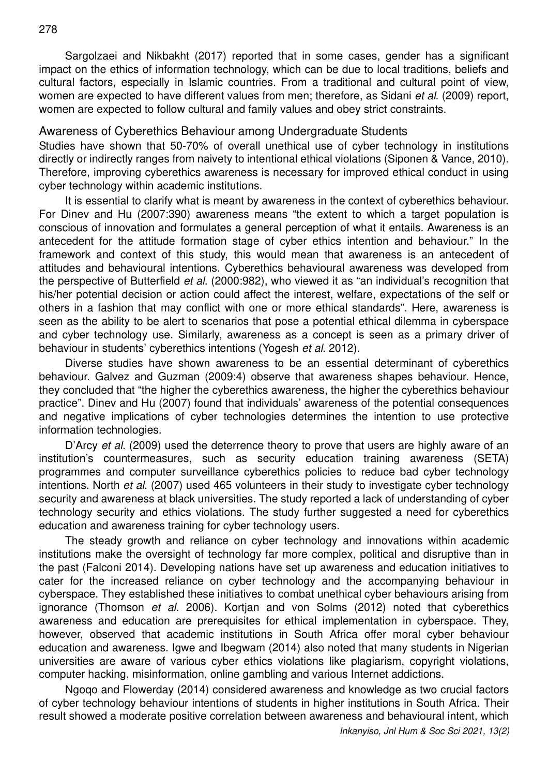Sargolzaei and Nikbakht (2017) reported that in some cases, gender has a significant impact on the ethics of information technology, which can be due to local traditions, beliefs and cultural factors, especially in Islamic countries. From a traditional and cultural point of view, women are expected to have different values from men; therefore, as Sidani *et al.* (2009) report, women are expected to follow cultural and family values and obey strict constraints.

### Awareness of Cyberethics Behaviour among Undergraduate Students

Studies have shown that 50-70% of overall unethical use of cyber technology in institutions directly or indirectly ranges from naivety to intentional ethical violations (Siponen & Vance, 2010). Therefore, improving cyberethics awareness is necessary for improved ethical conduct in using cyber technology within academic institutions.

It is essential to clarify what is meant by awareness in the context of cyberethics behaviour. For Dinev and Hu (2007:390) awareness means "the extent to which a target population is conscious of innovation and formulates a general perception of what it entails. Awareness is an antecedent for the attitude formation stage of cyber ethics intention and behaviour." In the framework and context of this study, this would mean that awareness is an antecedent of attitudes and behavioural intentions. Cyberethics behavioural awareness was developed from the perspective of Butterfield et al. (2000:982), who viewed it as "an individual's recognition that his/her potential decision or action could affect the interest, welfare, expectations of the self or others in a fashion that may conflict with one or more ethical standards". Here, awareness is seen as the ability to be alert to scenarios that pose a potential ethical dilemma in cyberspace and cyber technology use. Similarly, awareness as a concept is seen as a primary driver of behaviour in students' cyberethics intentions (Yogesh et al. 2012).

Diverse studies have shown awareness to be an essential determinant of cyberethics behaviour. Galvez and Guzman (2009:4) observe that awareness shapes behaviour. Hence, they concluded that "the higher the cyberethics awareness, the higher the cyberethics behaviour practice". Dinev and Hu (2007) found that individuals' awareness of the potential consequences and negative implications of cyber technologies determines the intention to use protective information technologies.

D'Arcy et al. (2009) used the deterrence theory to prove that users are highly aware of an institution's countermeasures, such as security education training awareness (SETA) programmes and computer surveillance cyberethics policies to reduce bad cyber technology intentions. North et al. (2007) used 465 volunteers in their study to investigate cyber technology security and awareness at black universities. The study reported a lack of understanding of cyber technology security and ethics violations. The study further suggested a need for cyberethics education and awareness training for cyber technology users.

The steady growth and reliance on cyber technology and innovations within academic institutions make the oversight of technology far more complex, political and disruptive than in the past (Falconi 2014). Developing nations have set up awareness and education initiatives to cater for the increased reliance on cyber technology and the accompanying behaviour in cyberspace. They established these initiatives to combat unethical cyber behaviours arising from ignorance (Thomson et al. 2006). Kortjan and von Solms (2012) noted that cyberethics awareness and education are prerequisites for ethical implementation in cyberspace. They, however, observed that academic institutions in South Africa offer moral cyber behaviour education and awareness. Igwe and Ibegwam (2014) also noted that many students in Nigerian universities are aware of various cyber ethics violations like plagiarism, copyright violations, computer hacking, misinformation, online gambling and various Internet addictions.

Ngoqo and Flowerday (2014) considered awareness and knowledge as two crucial factors of cyber technology behaviour intentions of students in higher institutions in South Africa. Their result showed a moderate positive correlation between awareness and behavioural intent, which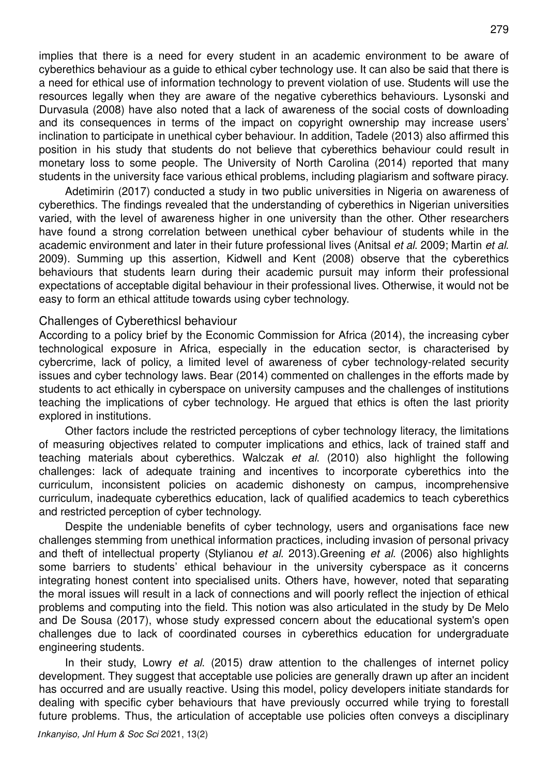implies that there is a need for every student in an academic environment to be aware of cyberethics behaviour as a guide to ethical cyber technology use. It can also be said that there is a need for ethical use of information technology to prevent violation of use. Students will use the resources legally when they are aware of the negative cyberethics behaviours. Lysonski and Durvasula (2008) have also noted that a lack of awareness of the social costs of downloading and its consequences in terms of the impact on copyright ownership may increase users' inclination to participate in unethical cyber behaviour. In addition, Tadele (2013) also affirmed this position in his study that students do not believe that cyberethics behaviour could result in monetary loss to some people. The University of North Carolina (2014) reported that many students in the university face various ethical problems, including plagiarism and software piracy.

Adetimirin (2017) conducted a study in two public universities in Nigeria on awareness of cyberethics. The findings revealed that the understanding of cyberethics in Nigerian universities varied, with the level of awareness higher in one university than the other. Other researchers have found a strong correlation between unethical cyber behaviour of students while in the academic environment and later in their future professional lives (Anitsal et al. 2009; Martin et al. 2009). Summing up this assertion, Kidwell and Kent (2008) observe that the cyberethics behaviours that students learn during their academic pursuit may inform their professional expectations of acceptable digital behaviour in their professional lives. Otherwise, it would not be easy to form an ethical attitude towards using cyber technology.

#### Challenges of Cyberethicsl behaviour

According to a policy brief by the Economic Commission for Africa (2014), the increasing cyber technological exposure in Africa, especially in the education sector, is characterised by cybercrime, lack of policy, a limited level of awareness of cyber technology-related security issues and cyber technology laws. Bear (2014) commented on challenges in the efforts made by students to act ethically in cyberspace on university campuses and the challenges of institutions teaching the implications of cyber technology. He argued that ethics is often the last priority explored in institutions.

Other factors include the restricted perceptions of cyber technology literacy, the limitations of measuring objectives related to computer implications and ethics, lack of trained staff and teaching materials about cyberethics. Walczak et al. (2010) also highlight the following challenges: lack of adequate training and incentives to incorporate cyberethics into the curriculum, inconsistent policies on academic dishonesty on campus, incomprehensive curriculum, inadequate cyberethics education, lack of qualified academics to teach cyberethics and restricted perception of cyber technology.

Despite the undeniable benefits of cyber technology, users and organisations face new challenges stemming from unethical information practices, including invasion of personal privacy and theft of intellectual property (Stylianou et al. 2013). Greening et al. (2006) also highlights some barriers to students' ethical behaviour in the university cyberspace as it concerns integrating honest content into specialised units. Others have, however, noted that separating the moral issues will result in a lack of connections and will poorly reflect the injection of ethical problems and computing into the field. This notion was also articulated in the study by De Melo and De Sousa (2017), whose study expressed concern about the educational system's open challenges due to lack of coordinated courses in cyberethics education for undergraduate engineering students.

In their study, Lowry et al. (2015) draw attention to the challenges of internet policy development. They suggest that acceptable use policies are generally drawn up after an incident has occurred and are usually reactive. Using this model, policy developers initiate standards for dealing with specific cyber behaviours that have previously occurred while trying to forestall future problems. Thus, the articulation of acceptable use policies often conveys a disciplinary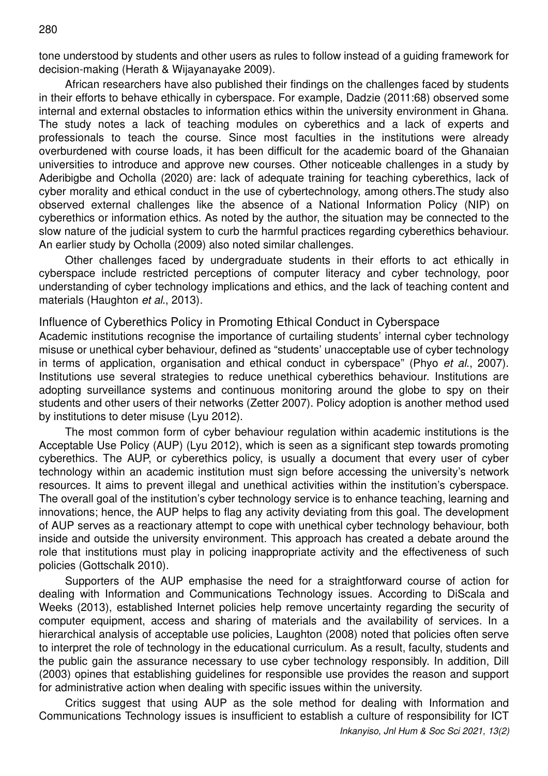tone understood by students and other users as rules to follow instead of a guiding framework for decision-making (Herath & Wijayanayake 2009).

African researchers have also published their findings on the challenges faced by students in their efforts to behave ethically in cyberspace. For example, Dadzie (2011:68) observed some internal and external obstacles to information ethics within the university environment in Ghana. The study notes a lack of teaching modules on cyberethics and a lack of experts and professionals to teach the course. Since most faculties in the institutions were already overburdened with course loads, it has been difficult for the academic board of the Ghanaian universities to introduce and approve new courses. Other noticeable challenges in a study by Aderibigbe and Ocholla (2020) are: lack of adequate training for teaching cyberethics, lack of cyber morality and ethical conduct in the use of cybertechnology, among others.The study also observed external challenges like the absence of a National Information Policy (NIP) on cyberethics or information ethics. As noted by the author, the situation may be connected to the slow nature of the judicial system to curb the harmful practices regarding cyberethics behaviour. An earlier study by Ocholla (2009) also noted similar challenges.

Other challenges faced by undergraduate students in their efforts to act ethically in cyberspace include restricted perceptions of computer literacy and cyber technology, poor understanding of cyber technology implications and ethics, and the lack of teaching content and materials (Haughton et al., 2013).

Influence of Cyberethics Policy in Promoting Ethical Conduct in Cyberspace

Academic institutions recognise the importance of curtailing students' internal cyber technology misuse or unethical cyber behaviour, defined as "students' unacceptable use of cyber technology in terms of application, organisation and ethical conduct in cyberspace" (Phyo et al., 2007). Institutions use several strategies to reduce unethical cyberethics behaviour. Institutions are adopting surveillance systems and continuous monitoring around the globe to spy on their students and other users of their networks (Zetter 2007). Policy adoption is another method used by institutions to deter misuse (Lyu 2012).

The most common form of cyber behaviour regulation within academic institutions is the Acceptable Use Policy (AUP) (Lyu 2012), which is seen as a significant step towards promoting cyberethics. The AUP, or cyberethics policy, is usually a document that every user of cyber technology within an academic institution must sign before accessing the university's network resources. It aims to prevent illegal and unethical activities within the institution's cyberspace. The overall goal of the institution's cyber technology service is to enhance teaching, learning and innovations; hence, the AUP helps to flag any activity deviating from this goal. The development of AUP serves as a reactionary attempt to cope with unethical cyber technology behaviour, both inside and outside the university environment. This approach has created a debate around the role that institutions must play in policing inappropriate activity and the effectiveness of such policies (Gottschalk 2010).

Supporters of the AUP emphasise the need for a straightforward course of action for dealing with Information and Communications Technology issues. According to DiScala and Weeks (2013), established Internet policies help remove uncertainty regarding the security of computer equipment, access and sharing of materials and the availability of services. In a hierarchical analysis of acceptable use policies, Laughton (2008) noted that policies often serve to interpret the role of technology in the educational curriculum. As a result, faculty, students and the public gain the assurance necessary to use cyber technology responsibly. In addition, Dill (2003) opines that establishing guidelines for responsible use provides the reason and support for administrative action when dealing with specific issues within the university.

Critics suggest that using AUP as the sole method for dealing with Information and Communications Technology issues is insufficient to establish a culture of responsibility for ICT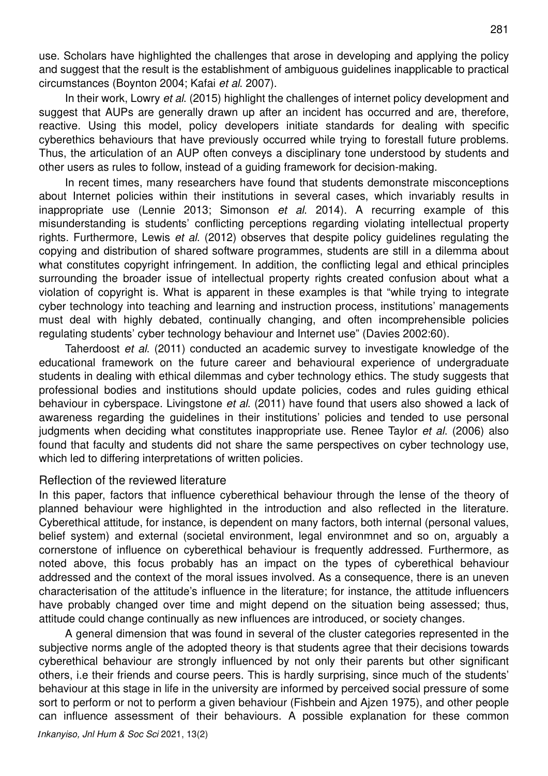In their work, Lowry et al. (2015) highlight the challenges of internet policy development and suggest that AUPs are generally drawn up after an incident has occurred and are, therefore, reactive. Using this model, policy developers initiate standards for dealing with specific cyberethics behaviours that have previously occurred while trying to forestall future problems. Thus, the articulation of an AUP often conveys a disciplinary tone understood by students and other users as rules to follow, instead of a guiding framework for decision-making.

In recent times, many researchers have found that students demonstrate misconceptions about Internet policies within their institutions in several cases, which invariably results in inappropriate use (Lennie 2013; Simonson et al. 2014). A recurring example of this misunderstanding is students' conflicting perceptions regarding violating intellectual property rights. Furthermore, Lewis et al. (2012) observes that despite policy quidelines regulating the copying and distribution of shared software programmes, students are still in a dilemma about what constitutes copyright infringement. In addition, the conflicting legal and ethical principles surrounding the broader issue of intellectual property rights created confusion about what a violation of copyright is. What is apparent in these examples is that "while trying to integrate cyber technology into teaching and learning and instruction process, institutions' managements must deal with highly debated, continually changing, and often incomprehensible policies regulating students' cyber technology behaviour and Internet use" (Davies 2002:60).

Taherdoost et al. (2011) conducted an academic survey to investigate knowledge of the educational framework on the future career and behavioural experience of undergraduate students in dealing with ethical dilemmas and cyber technology ethics. The study suggests that professional bodies and institutions should update policies, codes and rules guiding ethical behaviour in cyberspace. Livingstone et al. (2011) have found that users also showed a lack of awareness regarding the guidelines in their institutions' policies and tended to use personal judgments when deciding what constitutes inappropriate use. Renee Taylor et al. (2006) also found that faculty and students did not share the same perspectives on cyber technology use, which led to differing interpretations of written policies.

### Reflection of the reviewed literature

In this paper, factors that influence cyberethical behaviour through the lense of the theory of planned behaviour were highlighted in the introduction and also reflected in the literature. Cyberethical attitude, for instance, is dependent on many factors, both internal (personal values, belief system) and external (societal environment, legal environmnet and so on, arguably a cornerstone of influence on cyberethical behaviour is frequently addressed. Furthermore, as noted above, this focus probably has an impact on the types of cyberethical behaviour addressed and the context of the moral issues involved. As a consequence, there is an uneven characterisation of the attitude's influence in the literature; for instance, the attitude influencers have probably changed over time and might depend on the situation being assessed; thus, attitude could change continually as new influences are introduced, or society changes.

A general dimension that was found in several of the cluster categories represented in the subjective norms angle of the adopted theory is that students agree that their decisions towards cyberethical behaviour are strongly influenced by not only their parents but other significant others, i.e their friends and course peers. This is hardly surprising, since much of the students' behaviour at this stage in life in the university are informed by perceived social pressure of some sort to perform or not to perform a given behaviour (Fishbein and Ajzen 1975), and other people can influence assessment of their behaviours. A possible explanation for these common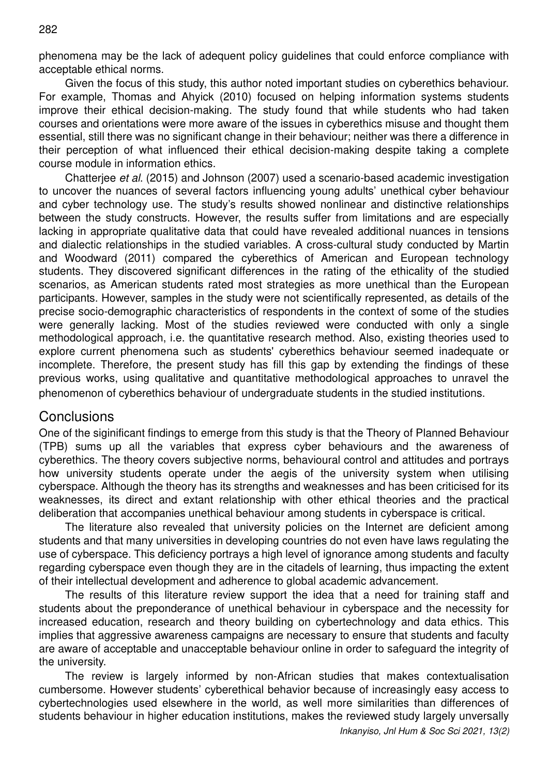282

phenomena may be the lack of adequent policy guidelines that could enforce compliance with acceptable ethical norms.

Given the focus of this study, this author noted important studies on cyberethics behaviour. For example, Thomas and Ahyick (2010) focused on helping information systems students improve their ethical decision-making. The study found that while students who had taken courses and orientations were more aware of the issues in cyberethics misuse and thought them essential, still there was no significant change in their behaviour; neither was there a difference in their perception of what influenced their ethical decision-making despite taking a complete course module in information ethics.

Chatterjee et al. (2015) and Johnson (2007) used a scenario-based academic investigation to uncover the nuances of several factors influencing young adults' unethical cyber behaviour and cyber technology use. The study's results showed nonlinear and distinctive relationships between the study constructs. However, the results suffer from limitations and are especially lacking in appropriate qualitative data that could have revealed additional nuances in tensions and dialectic relationships in the studied variables. A cross-cultural study conducted by Martin and Woodward (2011) compared the cyberethics of American and European technology students. They discovered significant differences in the rating of the ethicality of the studied scenarios, as American students rated most strategies as more unethical than the European participants. However, samples in the study were not scientifically represented, as details of the precise socio-demographic characteristics of respondents in the context of some of the studies were generally lacking. Most of the studies reviewed were conducted with only a single methodological approach, i.e. the quantitative research method. Also, existing theories used to explore current phenomena such as students' cyberethics behaviour seemed inadequate or incomplete. Therefore, the present study has fill this gap by extending the findings of these previous works, using qualitative and quantitative methodological approaches to unravel the phenomenon of cyberethics behaviour of undergraduate students in the studied institutions.

## **Conclusions**

One of the siginificant findings to emerge from this study is that the Theory of Planned Behaviour (TPB) sums up all the variables that express cyber behaviours and the awareness of cyberethics. The theory covers subjective norms, behavioural control and attitudes and portrays how university students operate under the aegis of the university system when utilising cyberspace. Although the theory has its strengths and weaknesses and has been criticised for its weaknesses, its direct and extant relationship with other ethical theories and the practical deliberation that accompanies unethical behaviour among students in cyberspace is critical.

The literature also revealed that university policies on the Internet are deficient among students and that many universities in developing countries do not even have laws regulating the use of cyberspace. This deficiency portrays a high level of ignorance among students and faculty regarding cyberspace even though they are in the citadels of learning, thus impacting the extent of their intellectual development and adherence to global academic advancement.

The results of this literature review support the idea that a need for training staff and students about the preponderance of unethical behaviour in cyberspace and the necessity for increased education, research and theory building on cybertechnology and data ethics. This implies that aggressive awareness campaigns are necessary to ensure that students and faculty are aware of acceptable and unacceptable behaviour online in order to safeguard the integrity of the university.

The review is largely informed by non-African studies that makes contextualisation cumbersome. However students' cyberethical behavior because of increasingly easy access to cybertechnologies used elsewhere in the world, as well more similarities than differences of students behaviour in higher education institutions, makes the reviewed study largely unversally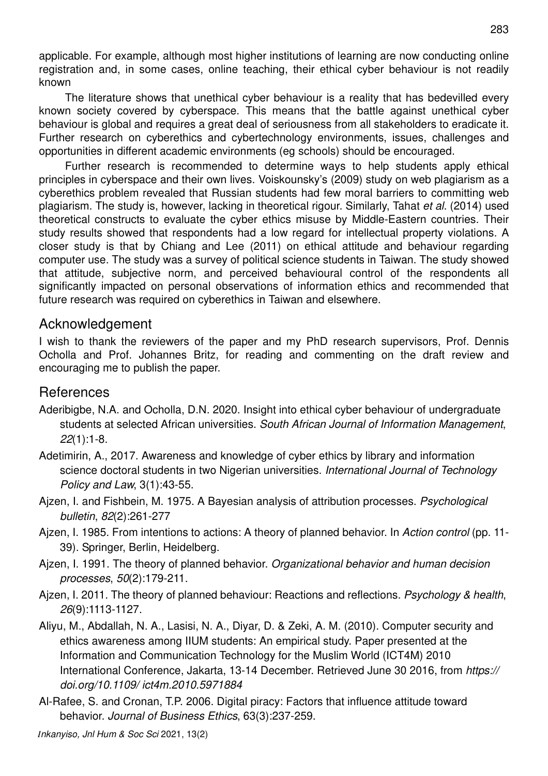applicable. For example, although most higher institutions of learning are now conducting online registration and, in some cases, online teaching, their ethical cyber behaviour is not readily known

The literature shows that unethical cyber behaviour is a reality that has bedevilled every known society covered by cyberspace. This means that the battle against unethical cyber behaviour is global and requires a great deal of seriousness from all stakeholders to eradicate it. Further research on cyberethics and cybertechnology environments, issues, challenges and opportunities in different academic environments (eg schools) should be encouraged.

Further research is recommended to determine ways to help students apply ethical principles in cyberspace and their own lives. Voiskounsky's (2009) study on web plagiarism as a cyberethics problem revealed that Russian students had few moral barriers to committing web plagiarism. The study is, however, lacking in theoretical rigour. Similarly, Tahat et al. (2014) used theoretical constructs to evaluate the cyber ethics misuse by Middle-Eastern countries. Their study results showed that respondents had a low regard for intellectual property violations. A closer study is that by Chiang and Lee (2011) on ethical attitude and behaviour regarding computer use. The study was a survey of political science students in Taiwan. The study showed that attitude, subjective norm, and perceived behavioural control of the respondents all significantly impacted on personal observations of information ethics and recommended that future research was required on cyberethics in Taiwan and elsewhere.

### Acknowledgement

I wish to thank the reviewers of the paper and my PhD research supervisors, Prof. Dennis Ocholla and Prof. Johannes Britz, for reading and commenting on the draft review and encouraging me to publish the paper.

## References

- Aderibigbe, N.A. and Ocholla, D.N. 2020. Insight into ethical cyber behaviour of undergraduate students at selected African universities. South African Journal of Information Management, 22(1):1-8.
- Adetimirin, A., 2017. Awareness and knowledge of cyber ethics by library and information science doctoral students in two Nigerian universities. International Journal of Technology Policy and Law, 3(1):43-55.
- Aizen, I. and Fishbein, M. 1975. A Bayesian analysis of attribution processes. Psychological bulletin, 82(2):261-277
- Ajzen, I. 1985. From intentions to actions: A theory of planned behavior. In Action control (pp. 11-39). Springer, Berlin, Heidelberg.
- Ajzen, I. 1991. The theory of planned behavior. Organizational behavior and human decision processes, 50(2):179-211.
- Aizen, I. 2011. The theory of planned behaviour: Reactions and reflections. Psychology & health, 26(9):1113-1127.
- Aliyu, M., Abdallah, N. A., Lasisi, N. A., Diyar, D. & Zeki, A. M. (2010). Computer security and ethics awareness among IIUM students: An empirical study. Paper presented at the Information and Communication Technology for the Muslim World (ICT4M) 2010 International Conference, Jakarta, 13-14 December. Retrieved June 30 2016, from https:// doi.org/10.1109/ ict4m.2010.5971884
- Al-Rafee, S. and Cronan, T.P. 2006. Digital piracy: Factors that influence attitude toward behavior. Journal of Business Ethics, 63(3):237-259.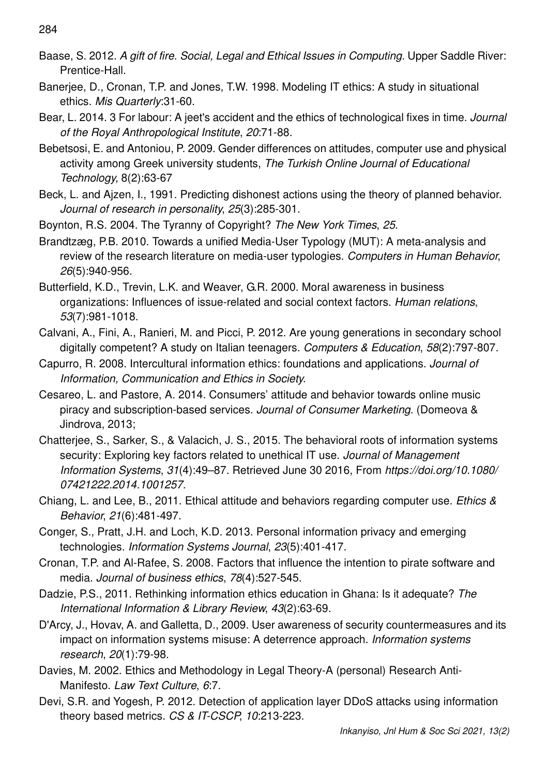- Baase, S. 2012. A gift of fire. Social, Legal and Ethical Issues in Computing. Upper Saddle River: Prentice-Hall.
- Banerjee, D., Cronan, T.P. and Jones, T.W. 1998. Modeling IT ethics: A study in situational ethics. Mis Quarterly:31-60.
- Bear, L. 2014. 3 For labour: A jeet's accident and the ethics of technological fixes in time. Journal of the Royal Anthropological Institute, 20:71-88.
- Bebetsosi, E. and Antoniou, P. 2009. Gender differences on attitudes, computer use and physical activity among Greek university students, The Turkish Online Journal of Educational Technology, 8(2):63-67
- Beck, L. and Ajzen, I., 1991. Predicting dishonest actions using the theory of planned behavior. Journal of research in personality, 25(3):285-301.
- Boynton, R.S. 2004. The Tyranny of Copyright? The New York Times, 25.
- Brandtzæg, P.B. 2010. Towards a unified Media-User Typology (MUT): A meta-analysis and review of the research literature on media-user typologies. Computers in Human Behavior, 26(5):940-956.
- Butterfield, K.D., Trevin, L.K. and Weaver, G.R. 2000. Moral awareness in business organizations: Influences of issue-related and social context factors. Human relations, 53(7):981-1018.
- Calvani, A., Fini, A., Ranieri, M. and Picci, P. 2012. Are young generations in secondary school digitally competent? A study on Italian teenagers. Computers & Education, 58(2):797-807.
- Capurro, R. 2008. Intercultural information ethics: foundations and applications. Journal of Information, Communication and Ethics in Society.
- Cesareo, L. and Pastore, A. 2014. Consumers' attitude and behavior towards online music piracy and subscription-based services. Journal of Consumer Marketing. (Domeova & Jindrova, 2013;
- Chatterjee, S., Sarker, S., & Valacich, J. S., 2015. The behavioral roots of information systems security: Exploring key factors related to unethical IT use. Journal of Management Information Systems, 31(4):49–87. Retrieved June 30 2016, From https://doi.org/10.1080/ 07421222.2014.1001257.
- Chiang, L. and Lee, B., 2011. Ethical attitude and behaviors regarding computer use. Ethics & Behavior, 21(6):481-497.
- Conger, S., Pratt, J.H. and Loch, K.D. 2013. Personal information privacy and emerging technologies. Information Systems Journal, 23(5):401-417.
- Cronan, T.P. and Al-Rafee, S. 2008. Factors that influence the intention to pirate software and media. Journal of business ethics, 78(4):527-545.
- Dadzie, P.S., 2011. Rethinking information ethics education in Ghana: Is it adequate? The International Information & Library Review, 43(2):63-69.
- D'Arcy, J., Hovav, A. and Galletta, D., 2009. User awareness of security countermeasures and its impact on information systems misuse: A deterrence approach. Information systems research, 20(1):79-98.
- Davies, M. 2002. Ethics and Methodology in Legal Theory-A (personal) Research Anti-Manifesto. Law Text Culture, 6:7.
- Devi, S.R. and Yogesh, P. 2012. Detection of application layer DDoS attacks using information theory based metrics. CS & IT-CSCP, 10:213-223.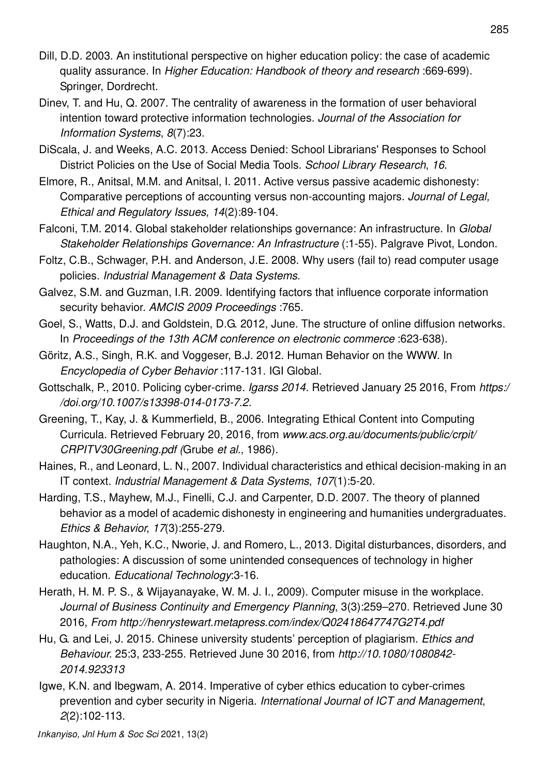- Dill, D.D. 2003. An institutional perspective on higher education policy: the case of academic quality assurance. In Higher Education: Handbook of theory and research :669-699). Springer, Dordrecht.
- Dinev, T. and Hu, Q. 2007. The centrality of awareness in the formation of user behavioral intention toward protective information technologies. Journal of the Association for Information Systems, 8(7):23.
- DiScala, J. and Weeks, A.C. 2013. Access Denied: School Librarians' Responses to School District Policies on the Use of Social Media Tools. School Library Research, 16.
- Elmore, R., Anitsal, M.M. and Anitsal, I. 2011. Active versus passive academic dishonesty: Comparative perceptions of accounting versus non-accounting majors. Journal of Legal. Ethical and Regulatory Issues, 14(2):89-104.
- Falconi, T.M. 2014. Global stakeholder relationships governance: An infrastructure. In Global Stakeholder Relationships Governance: An Infrastructure (:1-55). Palgrave Pivot, London.
- Foltz, C.B., Schwager, P.H. and Anderson, J.E. 2008. Why users (fail to) read computer usage policies. Industrial Management & Data Systems.
- Galvez, S.M. and Guzman, I.R. 2009. Identifying factors that influence corporate information security behavior. AMCIS 2009 Proceedings : 765.
- Goel, S., Watts, D.J. and Goldstein, D.G. 2012, June. The structure of online diffusion networks. In Proceedings of the 13th ACM conference on electronic commerce :623-638).
- Göritz, A.S., Singh, R.K. and Voggeser, B.J. 2012. Human Behavior on the WWW. In Encyclopedia of Cyber Behavior :117-131. IGI Global.
- Gottschalk, P., 2010. Policing cyber-crime. Igarss 2014. Retrieved January 25 2016, From https:/ /doi.org/10.1007/s13398-014-0173-7.2.
- Greening, T., Kay, J. & Kummerfield, B., 2006. Integrating Ethical Content into Computing Curricula. Retrieved February 20, 2016, from www.acs.org.au/documents/public/crpit/ CRPITV30Greening.pdf (Grube et al., 1986).
- Haines, R., and Leonard, L. N., 2007. Individual characteristics and ethical decision-making in an IT context. Industrial Management & Data Systems, 107(1):5-20.
- Harding, T.S., Mayhew, M.J., Finelli, C.J. and Carpenter, D.D. 2007. The theory of planned behavior as a model of academic dishonesty in engineering and humanities undergraduates. Ethics & Behavior, 17(3):255-279.
- Haughton, N.A., Yeh, K.C., Nworie, J. and Romero, L., 2013. Digital disturbances, disorders, and pathologies: A discussion of some unintended consequences of technology in higher education. Educational Technology:3-16.
- Herath, H. M. P. S., & Wijayanayake, W. M. J. I., 2009). Computer misuse in the workplace. Journal of Business Continuity and Emergency Planning, 3(3):259–270. Retrieved June 30 2016, From http://henrystewart.metapress.com/index/Q02418647747G2T4.pdf
- Hu, G. and Lei, J. 2015. Chinese university students' perception of plagiarism. Ethics and Behaviour. 25:3, 233-255. Retrieved June 30 2016, from http://10.1080/1080842-2014.923313
- Igwe, K.N. and Ibegwam, A. 2014. Imperative of cyber ethics education to cyber-crimes prevention and cyber security in Nigeria. International Journal of ICT and Management, 2(2):102-113.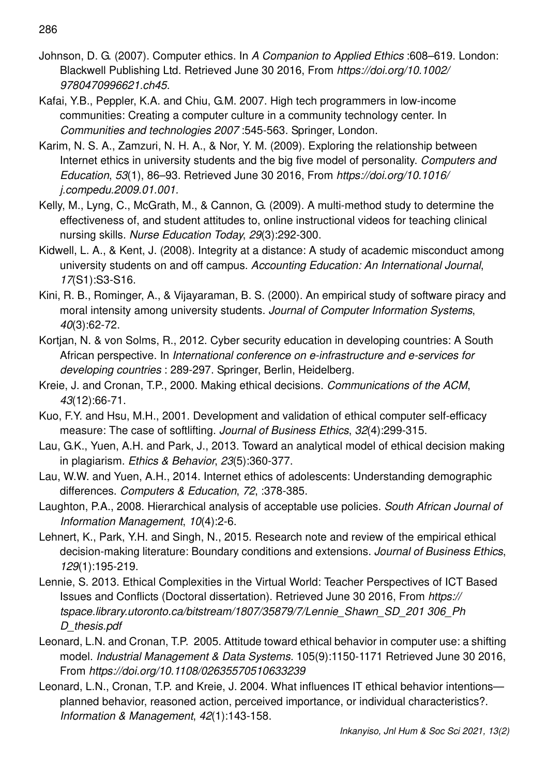- Johnson, D. G. (2007). Computer ethics. In A Companion to Applied Ethics :608–619. London: Blackwell Publishing Ltd. Retrieved June 30 2016, From https://doi.org/10.1002/ 9780470996621.ch45.
- Kafai, Y.B., Peppler, K.A. and Chiu, G.M. 2007. High tech programmers in low-income communities: Creating a computer culture in a community technology center. In Communities and technologies 2007 :545-563. Springer, London.
- Karim, N. S. A., Zamzuri, N. H. A., & Nor, Y. M. (2009). Exploring the relationship between Internet ethics in university students and the big five model of personality. Computers and Education, 53(1), 86–93. Retrieved June 30 2016, From https://doi.org/10.1016/ j.compedu.2009.01.001.
- Kelly, M., Lyng, C., McGrath, M., & Cannon, G. (2009). A multi-method study to determine the effectiveness of, and student attitudes to, online instructional videos for teaching clinical nursing skills. Nurse Education Today, 29(3):292-300.
- Kidwell, L. A., & Kent, J. (2008). Integrity at a distance: A study of academic misconduct among university students on and off campus. Accounting Education: An International Journal, 17(S1):S3-S16.
- Kini, R. B., Rominger, A., & Vijayaraman, B. S. (2000). An empirical study of software piracy and moral intensity among university students. Journal of Computer Information Systems, 40(3):62-72.
- Kortjan, N. & von Solms, R., 2012. Cyber security education in developing countries: A South African perspective. In International conference on e-infrastructure and e-services for developing countries : 289-297. Springer, Berlin, Heidelberg.
- Kreie, J. and Cronan, T.P., 2000. Making ethical decisions. Communications of the ACM, 43(12):66-71.
- Kuo, F.Y. and Hsu, M.H., 2001. Development and validation of ethical computer self-efficacy measure: The case of softlifting. Journal of Business Ethics, 32(4):299-315.
- Lau, G.K., Yuen, A.H. and Park, J., 2013. Toward an analytical model of ethical decision making in plagiarism. Ethics & Behavior, 23(5):360-377.
- Lau, W.W. and Yuen, A.H., 2014. Internet ethics of adolescents: Understanding demographic differences. Computers & Education, 72, :378-385.
- Laughton, P.A., 2008. Hierarchical analysis of acceptable use policies. South African Journal of Information Management, 10(4):2-6.
- Lehnert, K., Park, Y.H. and Singh, N., 2015. Research note and review of the empirical ethical decision-making literature: Boundary conditions and extensions. Journal of Business Ethics, 129(1):195-219.
- Lennie, S. 2013. Ethical Complexities in the Virtual World: Teacher Perspectives of ICT Based Issues and Conflicts (Doctoral dissertation). Retrieved June 30 2016, From https:// tspace.library.utoronto.ca/bitstream/1807/35879/7/Lennie\_Shawn\_SD\_201 306\_Ph D thesis.pdf
- Leonard, L.N. and Cronan, T.P. 2005. Attitude toward ethical behavior in computer use: a shifting model. Industrial Management & Data Systems. 105(9):1150-1171 Retrieved June 30 2016, From https://doi.org/10.1108/02635570510633239
- Leonard, L.N., Cronan, T.P. and Kreie, J. 2004. What influences IT ethical behavior intentions planned behavior, reasoned action, perceived importance, or individual characteristics?. Information & Management, 42(1):143-158.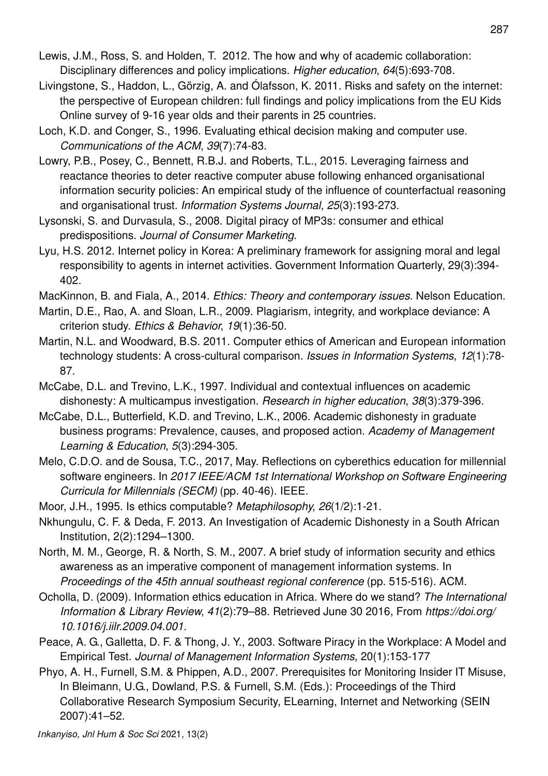- Lewis, J.M., Ross, S. and Holden, T. 2012. The how and why of academic collaboration: Disciplinary differences and policy implications. Higher education, 64(5):693-708.
- Livingstone, S., Haddon, L., Görzig, A. and Ólafsson, K. 2011. Risks and safety on the internet: the perspective of European children: full findings and policy implications from the EU Kids Online survey of 9-16 year olds and their parents in 25 countries.
- Loch, K.D. and Conger, S., 1996. Evaluating ethical decision making and computer use. Communications of the ACM, 39(7):74-83.
- Lowry, P.B., Posey, C., Bennett, R.B.J. and Roberts, T.L., 2015. Leveraging fairness and reactance theories to deter reactive computer abuse following enhanced organisational information security policies: An empirical study of the influence of counterfactual reasoning and organisational trust. Information Systems Journal, 25(3):193-273.
- Lysonski, S. and Durvasula, S., 2008. Digital piracy of MP3s: consumer and ethical predispositions. Journal of Consumer Marketing.
- Lyu, H.S. 2012. Internet policy in Korea: A preliminary framework for assigning moral and legal responsibility to agents in internet activities. Government Information Quarterly, 29(3):394- 402.
- MacKinnon, B. and Fiala, A., 2014. Ethics: Theory and contemporary issues. Nelson Education.
- Martin, D.E., Rao, A. and Sloan, L.R., 2009. Plagiarism, integrity, and workplace deviance: A criterion study. Ethics & Behavior, 19(1):36-50.
- Martin, N.L. and Woodward, B.S. 2011. Computer ethics of American and European information technology students: A cross-cultural comparison. Issues in Information Systems, 12(1):78- 87.
- McCabe, D.L. and Trevino, L.K., 1997. Individual and contextual influences on academic dishonesty: A multicampus investigation. Research in higher education, 38(3):379-396.
- McCabe, D.L., Butterfield, K.D. and Trevino, L.K., 2006. Academic dishonesty in graduate business programs: Prevalence, causes, and proposed action. Academy of Management Learning & Education, 5(3):294-305.
- Melo, C.D.O. and de Sousa, T.C., 2017, May. Reflections on cyberethics education for millennial software engineers. In 2017 IEEE/ACM 1st International Workshop on Software Engineering Curricula for Millennials (SECM) (pp. 40-46). IEEE.
- Moor, J.H., 1995. Is ethics computable? Metaphilosophy, 26(1/2):1-21.
- Nkhungulu, C. F. & Deda, F. 2013. An Investigation of Academic Dishonesty in a South African Institution, 2(2):1294–1300.
- North, M. M., George, R. & North, S. M., 2007. A brief study of information security and ethics awareness as an imperative component of management information systems. In Proceedings of the 45th annual southeast regional conference (pp. 515-516). ACM.
- Ocholla, D. (2009). Information ethics education in Africa. Where do we stand? The International Information & Library Review, 41(2):79–88. Retrieved June 30 2016, From https://doi.org/ 10.1016/j.iilr.2009.04.001.
- Peace, A. G., Galletta, D. F. & Thong, J. Y., 2003. Software Piracy in the Workplace: A Model and Empirical Test. Journal of Management Information Systems, 20(1):153-177
- Phyo, A. H., Furnell, S.M. & Phippen, A.D., 2007. Prerequisites for Monitoring Insider IT Misuse, In Bleimann, U.G., Dowland, P.S. & Furnell, S.M. (Eds.): Proceedings of the Third Collaborative Research Symposium Security, ELearning, Internet and Networking (SEIN 2007):41–52.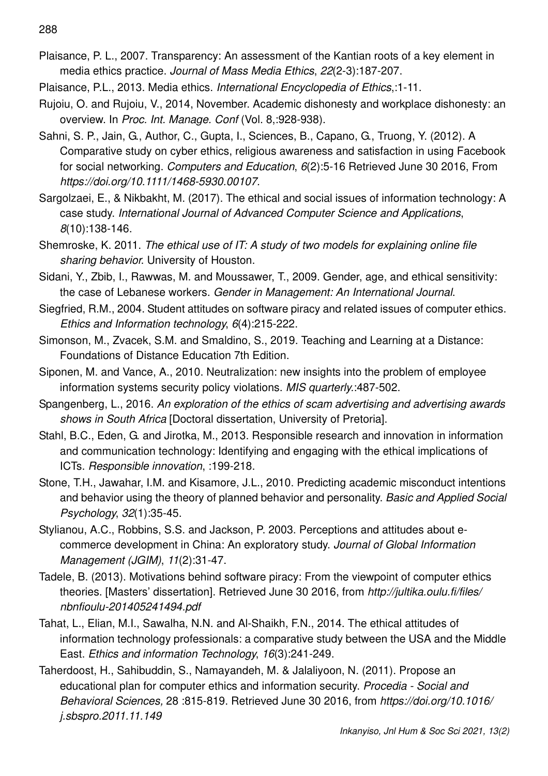288

- Plaisance, P. L., 2007. Transparency: An assessment of the Kantian roots of a key element in media ethics practice. Journal of Mass Media Ethics, 22(2-3):187-207.
- Plaisance, P.L., 2013. Media ethics. International Encyclopedia of Ethics,:1-11.
- Rujoiu, O. and Rujoiu, V., 2014, November. Academic dishonesty and workplace dishonesty: an overview. In Proc. Int. Manage. Conf (Vol. 8,:928-938).
- Sahni, S. P., Jain, G., Author, C., Gupta, I., Sciences, B., Capano, G., Truong, Y. (2012). A Comparative study on cyber ethics, religious awareness and satisfaction in using Facebook for social networking. Computers and Education, 6(2):5-16 Retrieved June 30 2016, From https://doi.org/10.1111/1468-5930.00107.
- Sargolzaei, E., & Nikbakht, M. (2017). The ethical and social issues of information technology: A case study. International Journal of Advanced Computer Science and Applications, 8(10):138-146.
- Shemroske, K. 2011. The ethical use of IT: A study of two models for explaining online file sharing behavior. University of Houston.
- Sidani, Y., Zbib, I., Rawwas, M. and Moussawer, T., 2009. Gender, age, and ethical sensitivity: the case of Lebanese workers. Gender in Management: An International Journal.
- Siegfried, R.M., 2004. Student attitudes on software piracy and related issues of computer ethics. Ethics and Information technology, 6(4):215-222.
- Simonson, M., Zvacek, S.M. and Smaldino, S., 2019. Teaching and Learning at a Distance: Foundations of Distance Education 7th Edition.
- Siponen, M. and Vance, A., 2010. Neutralization: new insights into the problem of employee information systems security policy violations. MIS quarterly.:487-502.
- Spangenberg, L., 2016. An exploration of the ethics of scam advertising and advertising awards shows in South Africa [Doctoral dissertation, University of Pretoria].
- Stahl, B.C., Eden, G. and Jirotka, M., 2013. Responsible research and innovation in information and communication technology: Identifying and engaging with the ethical implications of ICTs. Responsible innovation, :199-218.
- Stone, T.H., Jawahar, I.M. and Kisamore, J.L., 2010. Predicting academic misconduct intentions and behavior using the theory of planned behavior and personality. Basic and Applied Social Psychology, 32(1):35-45.
- Stylianou, A.C., Robbins, S.S. and Jackson, P. 2003. Perceptions and attitudes about ecommerce development in China: An exploratory study. Journal of Global Information Management (JGIM), 11(2):31-47.
- Tadele, B. (2013). Motivations behind software piracy: From the viewpoint of computer ethics theories. [Masters' dissertation]. Retrieved June 30 2016, from http://jultika.oulu.fi/files/ nbnfioulu-201405241494.pdf
- Tahat, L., Elian, M.I., Sawalha, N.N. and Al-Shaikh, F.N., 2014. The ethical attitudes of information technology professionals: a comparative study between the USA and the Middle East. Ethics and information Technology, 16(3):241-249.
- Taherdoost, H., Sahibuddin, S., Namayandeh, M. & Jalaliyoon, N. (2011). Propose an educational plan for computer ethics and information security. Procedia - Social and Behavioral Sciences, 28 :815-819. Retrieved June 30 2016, from https://doi.org/10.1016/ j.sbspro.2011.11.149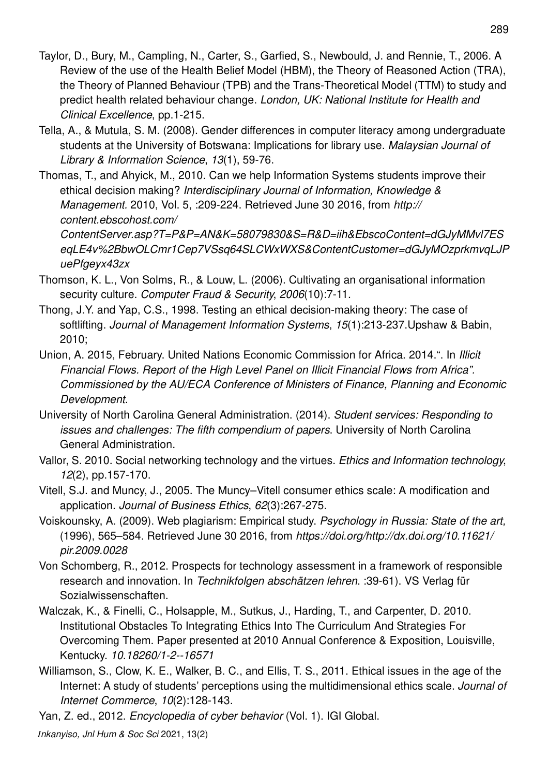- Taylor, D., Bury, M., Campling, N., Carter, S., Garfied, S., Newbould, J. and Rennie, T., 2006. A Review of the use of the Health Belief Model (HBM), the Theory of Reasoned Action (TRA), the Theory of Planned Behaviour (TPB) and the Trans-Theoretical Model (TTM) to study and predict health related behaviour change. London, UK: National Institute for Health and Clinical Excellence, pp.1-215.
- Tella, A., & Mutula, S. M. (2008). Gender differences in computer literacy among undergraduate students at the University of Botswana: Implications for library use. Malaysian Journal of Library & Information Science, 13(1), 59-76.
- Thomas, T., and Ahyick, M., 2010. Can we help Information Systems students improve their ethical decision making? Interdisciplinary Journal of Information, Knowledge & Management. 2010, Vol. 5, :209-224. Retrieved June 30 2016, from http:// content.ebscohost.com/ ContentServer.asp?T=P&P=AN&K=58079830&S=R&D=iih&EbscoContent=dGJyMMvl7ES

eqLE4v%2BbwOLCmr1Cep7VSsq64SLCWxWXS&ContentCustomer=dGJyMOzprkmvqLJP uePfgeyx43zx

- Thomson, K. L., Von Solms, R., & Louw, L. (2006). Cultivating an organisational information security culture. Computer Fraud & Security, 2006(10):7-11.
- Thong, J.Y. and Yap, C.S., 1998. Testing an ethical decision-making theory: The case of softlifting. Journal of Management Information Systems, 15(1):213-237. Upshaw & Babin, 2010;
- Union, A. 2015, February. United Nations Economic Commission for Africa. 2014.". In Illicit Financial Flows. Report of the High Level Panel on Illicit Financial Flows from Africa". Commissioned by the AU/ECA Conference of Ministers of Finance, Planning and Economic Development.
- University of North Carolina General Administration. (2014). Student services: Responding to issues and challenges: The fifth compendium of papers. University of North Carolina General Administration.
- Vallor, S. 2010. Social networking technology and the virtues. Ethics and Information technology, 12(2), pp.157-170.
- Vitell, S.J. and Muncy, J., 2005. The Muncy–Vitell consumer ethics scale: A modification and application. Journal of Business Ethics, 62(3):267-275.
- Voiskounsky, A. (2009). Web plagiarism: Empirical study. Psychology in Russia: State of the art, (1996), 565–584. Retrieved June 30 2016, from https://doi.org/http://dx.doi.org/10.11621/ pir.2009.0028
- Von Schomberg, R., 2012. Prospects for technology assessment in a framework of responsible research and innovation. In Technikfolgen abschätzen lehren. :39-61). VS Verlag für Sozialwissenschaften.
- Walczak, K., & Finelli, C., Holsapple, M., Sutkus, J., Harding, T., and Carpenter, D. 2010. Institutional Obstacles To Integrating Ethics Into The Curriculum And Strategies For Overcoming Them. Paper presented at 2010 Annual Conference & Exposition, Louisville, Kentucky. 10.18260/1-2--16571
- Williamson, S., Clow, K. E., Walker, B. C., and Ellis, T. S., 2011. Ethical issues in the age of the Internet: A study of students' perceptions using the multidimensional ethics scale. Journal of Internet Commerce, 10(2):128-143.
- Yan, Z. ed., 2012. Encyclopedia of cyber behavior (Vol. 1). IGI Global.